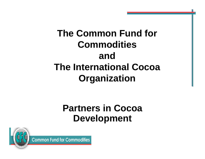## **The Common Fund for Commodities and The International Cocoa Organization**

#### **Partners in Cocoa Development**



**Common Fund for Commodities**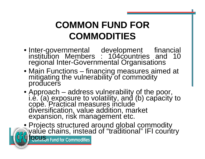## **COMMON FUND FOR COMMODITIES**

- Inter-governmental development financial<br>institution Members : 104countries and 10 regional Inter-Governmental Organisations
- Main Functions financing measures aimed at mitigating the vulnerability of commodity producers
- Approach address vulnerability of the poor,<br>i.e. (a) exposure to volatility, and (b) capacity to<br>cope. Practical measures include<br>diversification, value addition, market<br>expansion, risk management etc.

• Projects structured around global commodity<br>• value chains, instead of "traditional" IFI country<br>• focus, Fund for Commodities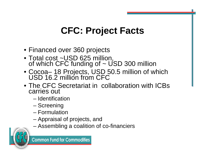# **CFC: Project Facts**

- Financed over 360 projects
- Total cost ~USD 625 million,<br>of which CFC funding of ~ USD 300 million
- Cocoa– 18 Projects, USD 50.5 million of which USD 16.2 million from CFC
- The CFC Secretariat in collaboration with ICBs carries out
	- Identification
	- Screening
	- Formulation
	- Appraisal of projects, and
	- Assembling a coalition of co-financiers

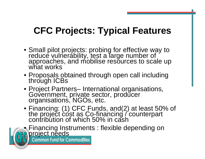# **CFC Projects: Typical Features**

- Small pilot projects: probing for effective way to reduce vulnerability, test a large number of approaches, and mobilise resources to scale up what works
- Proposals obtained through open call including through ICBs
- Project Partners– International organisations, Government, private sector, producer organisations, NGOs, etc.
- Financing: (1) CFC Funds, and(2) at least 50% of the project cost as Co-financing / counterpart contribution of which 50% in cash



Financing Instruments : flexible depending on<br>**Project needs**<br>**Representsion of the form Commodities**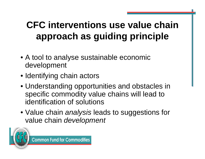# **CFC interventions use value chain approach as guiding principle**

- A tool to analyse sustainable economic development
- Identifying chain actors
- Understanding opportunities and obstacles in specific commodity value chains will lead to identification of solutions
- Value chain *analysis* leads to suggestions for value chain *development*

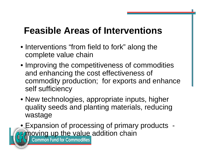## **Feasible Areas of Interventions**

- Interventions "from field to fork" along the complete value chain
- Improving the competitiveness of commodities and enhancing the cost effectiveness of commodity production; for exports and enhance self sufficiency
- New technologies, appropriate inputs, higher quality seeds and planting materials, reducing wastage

• Expansion of processing of primary products - **Emoving up the value addition chain**<br>**Explorence fund for Commodities**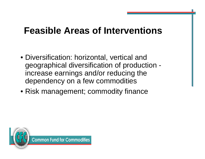### **Feasible Areas of Interventions**

- Diversification: horizontal, vertical and geographical diversification of production increase earnings and/or reducing the dependency on a few commodities
- Risk management; commodity finance

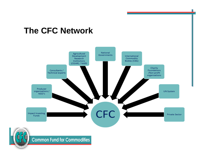#### **The CFC Network**





**Common Fund for Commodities**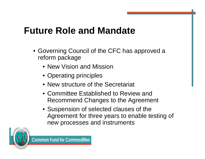## **Future Role and Mandate**

- Governing Council of the CFC has approved a reform package
	- New Vision and Mission
	- Operating principles
	- New structure of the Secretariat
	- Committee Established to Review and Recommend Changes to the Agreement
	- Suspension of selected clauses of the Agreement for three years to enable testing of new processes and instruments

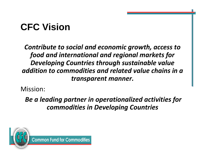# **CFC Vision**

*Contribute to social and economic growth, access to food and international and regional markets for Developing Countries through sustainable value addition to commodities and related value chains in a transparent manner.*

Mission:

*Be a leading partner in operationalized activities for commodities in Developing Countries*

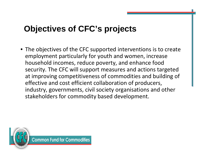#### **Objectives of CFC's projects**

• The objectives of the CFC supported interventions is to create employment particularly for youth and women, increase household incomes, reduce poverty, and enhance food security. The CFC will support measures and actions targeted at improving competitiveness of commodities and building of effective and cost efficient collaboration of producers, industry, governments, civil society organisations and other stakeholders for commodity based development.

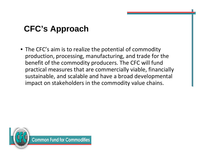#### **CFC's Approach**

• The CFC's aim is to realize the potential of commodity production, processing, manufacturing, and trade for the benefit of the commodity producers. The CFC will fund practical measures that are commercially viable, financially sustainable, and scalable and have a broad developmental impact on stakeholders in the commodity value chains.

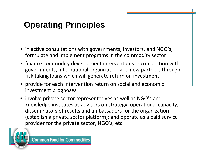#### **Operating Principles**

- in active consultations with governments, investors, and NGO's, formulate and implement programs in the commodity sector
- finance commodity development interventions in conjunction with governments, international organization and new partners through risk taking loans which will generate return on investment
- provide for each intervention return on social and economic investment prognoses
- involve private sector representatives as well as NGO's and knowledge institutes as advisors on strategy, operational capacity, disseminators of results and ambassadors for the organization (establish a private sector platform); and operate as a paid service provider for the private sector, NGO's, etc.

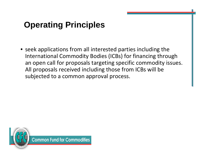#### **Operating Principles**

• seek applications from all interested parties including the International Commodity Bodies (ICBs) for financing through an open call for proposals targeting specific commodity issues. All proposals received including those from ICBs will be subjected to a common approval process.

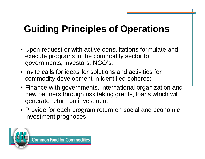# **Guiding Principles of Operations**

- Upon request or with active consultations formulate and execute programs in the commodity sector for governments, investors, NGO's;
- Invite calls for ideas for solutions and activities for commodity development in identified spheres;
- Finance with governments, international organization and new partners through risk taking grants, loans which will generate return on investment;
- Provide for each program return on social and economic investment prognoses;

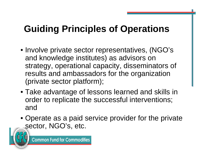# **Guiding Principles of Operations**

- Involve private sector representatives, (NGO's and knowledge institutes) as advisors on strategy, operational capacity, disseminators of results and ambassadors for the organization (private sector platform);
- Take advantage of lessons learned and skills in order to replicate the successful interventions; and
- Operate as a paid service provider for the private sector, NGO's, etc.

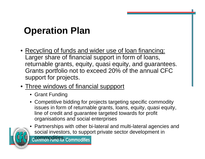# **Operation Plan**

- Recycling of funds and wider use of loan financing: Larger share of financial support in form of loans, returnable grants, equity, quasi equity, and guarantees. Grants portfolio not to exceed 20% of the annual CFC support for projects.
- Three windows of financial suppport
	- Grant Funding
	- Competitive bidding for projects targeting specific commodity issues in form of returnable grants, loans, equity, quasi equity, line of credit and guarantee targeted towards for profit organisations and social enterprises

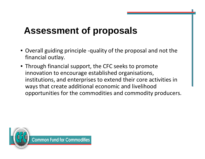## **Assessment of proposals**

- Overall guiding principle ‐quality of the proposal and not the financial outlay.
- Through financial support, the CFC seeks to promote innovation to encourage established organisations, institutions, and enterprises to extend their core activities in ways that create additional economic and livelihood opportunities for the commodities and commodity producers.

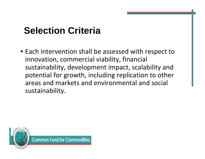## **Selection Criteria**

• Each intervention shall be assessed with respect to innovation, commercial viability, financial sustainability, development impact, scalability and potential for growth, including replication to other areas and markets and environmental and social sustainability.

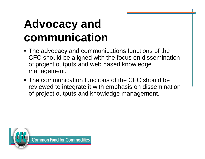# **Advocacy and communication**

- The advocacy and communications functions of the CFC should be aligned with the focus on dissemination of project outputs and web based knowledge management.
- The communication functions of the CFC should be reviewed to integrate it with emphasis on dissemination of project outputs and knowledge management.